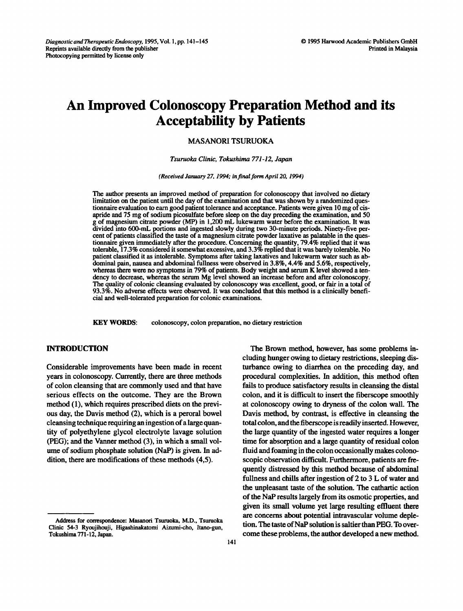# An Improved Colonoscopy Preparation Method and its Acceptability by Patients

## MASANORI TSURUOKA

#### Tsuruoka Clinic, Tokushima 771-12, Japan

(Received January 27, 1994; in final form April 20, 1994)

The author presents an improved method of preparation for colonoscopy that involved no dietary limitation on the patient until the day of the examination and that was shown by a randomized questionnaire evaluation to earn good patient tolerance and acceptance. Patients were given 10 mg of cisapride and 75 mg of sodium picosulfate before sleep on the day preceding the examination, and 50 g of magnesium citrate powder (MP) in 1,200 mL lukewarm water before the examination. It was divided into 600-mL portions and ingested slowly during two 30-minute periods. Ninety-five percent of patients classified the taste of a magnesium citrate powder laxative as palatable in the questionnaire given immediately after the procedure. Concerning the quantity, 79.4% replied that it was tolerable, 17.3% considered it somewhat excessive, and 3.3% replied that it was barely tolerable. No patient classified it as intolerable. Symptoms after taking laxatives and lukewarm water such as abdominal pain, nausea and abdominal fullness were observed in 3.8%, 4.4% and 5.6%, respectively, whereas there were no symptoms in 79% of patients. Body weight and serum K level showed <sup>a</sup> tendency to decrease, whereas the serum Mg level showed an increase before and after colonoscopy. The quality of colonic cleansing evaluated by colonoscopy was excellent, good, or fair in a total of 93.3%. No adverse effects were observed. It was concluded that this method is a clinically beneficial and well-tolerated preparation for colonic examinations.

KEY WORDS: colonoscopy, colon preparation, no dietary restriction

### INTRODUCTION

Considerable improvements have been made in recent years in colonoscopy. Currently, there are three methods of colon cleansing that are commonly used and that have serious effects on the outcome. They are the Brown method (1), which requires prescribed diets on the previous day, the Davis method (2), which is a peroral bowel cleansing technique requiring an ingestion of a large quantity of polyethylene glycol electrolyte lavage solution (PEG); and the Vanner method (3), in which a small volume of sodium phosphate solution (NAP) is given. In addition, there are modifications of these methods (4,5).

The Brown method, however, has some problems including hunger owing to dietary restrictions, sleeping disturbance owing to diarrhea on the preceding day, and procedural complexities. In addition, this method often fails to produce satisfactory results in cleansing the distal colon, and it is difficult to insert the fiberscope smoothly at colonoscopy owing to dryness of the colon wall. The Davis method, by contrast, is effective in cleansing the total colon, and the fiberscope is readily inserted. However, the large quantity of the ingested water requires a longer time for absorption and a large quantity of residual colon fluid and foaming in the colon occasionally makes colonoscopic observation difficult. Furthermore, patients are frequently distressed by this method because of abdominal fullness and chills after ingestion of 2 to <sup>3</sup> L of water and the unpleasant taste of the solution. The cathartic action of the NAP results largely from its osmotic properties, and given its small volume yet large resulting effluent there are concerns about potential intravascular volume depletion. The taste of NaP solution is saltier than PEG. To overcome these problems, the author developed a new method.

Address for correspondence: Masanori Tsuruoka, M.D., Tsuruoka Clinic 54-3 Ryoujihouji, Higashinakatomi Aizumi-cho, Itano-gun, Tokushima 771-12, Japan.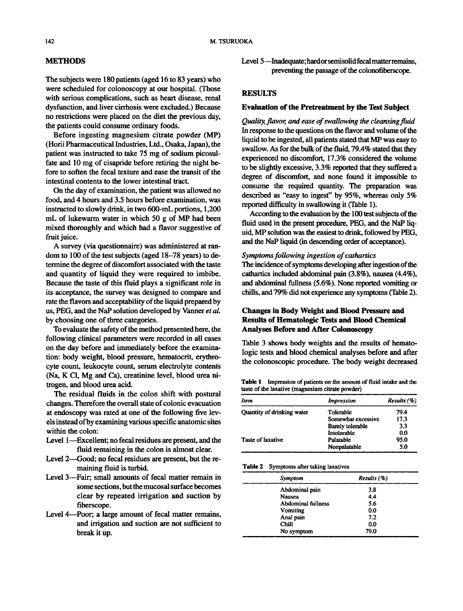## METHODS

The subjects were 180 patients (aged 16 to 83 years) who were scheduled for colonoscopy at our hospital. (Those with serious complications, such as heart disease, renal dysfunction, and liver cirrhosis were excluded.) Because no restrictions were placed on the diet the previous day, the patients could consume ordinary foods.

Before ingesting magnesium citrate powder (MP) (Horii Pharmaceutical Industries, Ltd., Osaka, Japan), the patient was instructed to take 75 mg of sodium picosulfate and 10 mg of cisapride before retiring the night before to soften the fecal texture and ease the transit of the intestinal contents to the lower intestinal tract.

On the day of examination, the patient was allowed no food, and 4 hours and 3.5 hours before examination, was instructed to slowly drink, in two 600-mL portions, 1,200 mL of lukewarm water in which <sup>50</sup> <sup>g</sup> of MP had been mixed thoroughly and which had a flavor suggestive of fruit juice.

A survey (via questionnaire) was administered at random to 100 of the test subjects (aged 18-78 years) to determine the degree of discomfort associated with the taste and quantity of liquid they were required to imbibe. Because the taste of this fluid plays a significant role in its acceptance, the survey was designed to compare and rate the flavors and acceptability of the liquid prepared by us, PEG, and the NaP solution developed by Vanner et al. by choosing one of three categories.

To evaluate the safety of the method presented here, the following clinical parameters were recorded in all cases on the day before and immediately before the examination: body weight, blood pressure, hematocrit, erythrocyte count, leukocyte count, serum electrolyte contents (Na, K C1, Mg and Ca), creatinine level, blood urea nitrogen, and blood urea acid.

The residual fluids in the colon shift with postural changes. Therefore the overall state of colonic evacuation at endoscopy was rated at one of the following five levels instead ofby examining various specific anatomic sites within the colon:

- Level 1—Excellent; no fecal residues are present, and the fluid remaining in the colon is almost clear.
- Level 2-Good; no fecal residues are present, but the remaining fluid is turbid.
- Level 3--Fair; small amounts of fecal matter remain in some sections, but the mucosal surface becomes clear by repeated irrigation and suction by fiberscope.
- Level 4-Poor; a large amount of fecal matter remains, and irrigation and suction are not sufficient to break it up.

Level 5—Inadequate; hard or semisolid fecal matter remains, preventing the passage of the colonofiberscope.

## **RESULTS**

## Evaluation of the Pretreatment by the Test Subject

Quality, flavor, and ease of swallowing the cleansing fluid In response to the questions on the flavor and volume of the liquid to be ingested, all patients stated that MP was easy to swallow. As for the bulk of the fluid, 79.4% stated that they experienced no discomfort, 17.3% considered the volume to be slightly excessive, 3.3% reported that they suffered a degree of discomfort, and none found it impossible to consume the required quantity. The preparation was described as "easy to ingest" by 95%, whereas only 5% reported difficulty in swallowing it (Table 1).

According to the evaluation by the 100 test subjects of the fluid used in the present procedure, PEG, and the NaP liquid, MP solution was the easiest to drink, followed by PEG, and the NaP liquid (in descending order of acceptance).

## Symptoms following ingestion of cathartics

The incidence of symptoms developing after ingestion of the cathartics included abdominal pain (3.8%), nausea (4.4%), and abdominal fullness (5.6%). None reported vomiting or chills, and 79% did not experience any symptoms (Table 2).

# Changes in Body Weight and Blood Pressure and Results of Hematologic Tests and Blood Chemical Analyses Before and After Colonoscopy

Table 3 shows body weights and the results of hematologic tests and blood chemical analyses before and after the colonoscopic procedure. The body weight decreased

|                                                  |  | <b>Table 1</b> Impression of patients on the amount of fluid intake and the |  |
|--------------------------------------------------|--|-----------------------------------------------------------------------------|--|
| taste of the laxative (magnesium citrate powder) |  |                                                                             |  |

| Item                              | <i>Impression</i>  | Results (%)<br>79.4 |  |
|-----------------------------------|--------------------|---------------------|--|
| <b>Ouantity of drinking water</b> | Tolerable          |                     |  |
|                                   | Somewhat excessive | 17.3                |  |
|                                   | Barely tolerable   | 33                  |  |
|                                   | Intolerable        | 0.0                 |  |
| Taste of laxative                 | Palatable          | 95.0                |  |
|                                   | Nonpalatable       | 5.0                 |  |

Table 2 Symptoms after taking laxatives

| Symptom                   | Results (%) |  |  |
|---------------------------|-------------|--|--|
| Abdominal pain            | 3.8         |  |  |
| <b>Nausea</b>             | 4.4         |  |  |
| <b>Abdominal fullness</b> | 5.6         |  |  |
| Vomiting                  | 00          |  |  |
| Anal pain                 | 7.2         |  |  |
| Chill                     | 00          |  |  |
| No symptom                | 79.0        |  |  |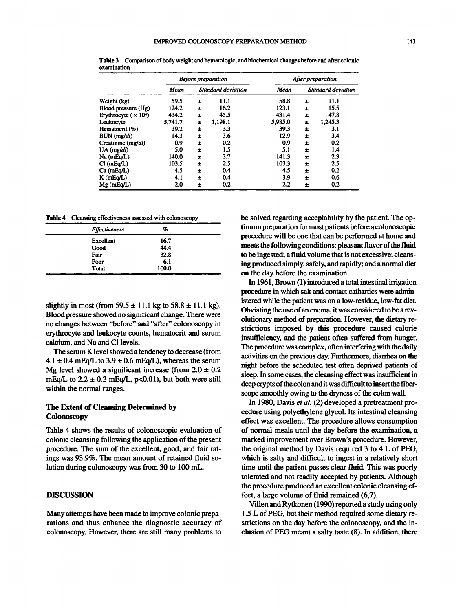|                             | <b>Before preparation</b> |                    |         | After preparation |                    |         |
|-----------------------------|---------------------------|--------------------|---------|-------------------|--------------------|---------|
|                             | <b>Mean</b>               | Standard deviation |         | Mean              | Standard deviation |         |
| Weight (kg)                 | 59.5                      | 士                  | 11.1    | 58.8              | 士                  | 11.1    |
| Blood pressure (Hg)         | 124.2                     | 士                  | 16.2    | 123.1             | Ŧ                  | 15.5    |
| Erythrocyte $(\times 10^4)$ | 434.2                     | 士                  | 45.5    | 431.4             | 土                  | 47.8    |
| Leukocyte                   | 5,741.7                   | 士                  | 1,198.1 | 5,985.0           | 士                  | 1,245.3 |
| Hematocrit (%)              | 39.2                      | 士                  | 3.3     | 39.3              | ±                  | 3.1     |
| BUN (mg/dl)                 | 14.3                      | 士                  | 3.6     | 12.9              | ±                  | 3.4     |
| Creatinine (mg/dl)          | 0.9                       | 士                  | 0.2     | 0.9               | 士                  | 0.2     |
| $UA$ (mg/dl)                | 5.0                       | 士                  | 1.5     | 5.1               | 士                  | 1.4     |
| Na (mEq/L)                  | 140.0                     | 土                  | 3.7     | 141.3             | $\pm$              | 2.3     |
| $Cl$ (mEq/L)                | 103.5                     | $\pm$              | 2.5     | 103.3             | 士                  | 2.5     |
| Ca (mEq/L)                  | 4.5                       | $\pm$              | 0.4     | 4.5               | 土                  | 0.2     |
| $K$ (mEq/L)                 | 4.1                       | 士                  | 0.4     | 3.9               | 士                  | 0.6     |
| $Mg$ (mEq/L)                | 2.0                       | 土                  | 0.2     | 2.2               | 士                  | 0.2     |

Table 3 Comparison of body weight and hematologic, and biochemical changes before and after colonic examination

Table 4 Cleansing effectiveness assessed with colonoscopy

| <b>Effectiveness</b> | %     |  |
|----------------------|-------|--|
| Excellent            | 16.7  |  |
| Good                 | 44.4  |  |
| Fair                 | 32.8  |  |
| Poor                 | 6.1   |  |
| Total                | 100.0 |  |

slightly in most (from  $59.5 \pm 11.1$  kg to  $58.8 \pm 11.1$  kg). Blood pressure showed no significant change. There were no changes between "before" and "after" colonoscopy in erythrocyte and leukocyte counts, hematocrit and serum calcium, and Na and C1 levels.

The serum K level showed a tendency to decrease (from  $4.1 \pm 0.4$  mEq/L to  $3.9 \pm 0.6$  mEq/L), whereas the serum Mg level showed a significant increase (from  $2.0 \pm 0.2$ ) mEq/L to  $2.2 \pm 0.2$  mEq/L, p<0.01), but both were still within the normal ranges.

# The Extent of Cleansing Determined by **Colonoscopy**

Table 4 shows the results of colonoscopic evaluation of colonic cleansing following the application of the present procedure. The sum of the excellent, good, and fair ratings was 93.9%. The mean amount of retained fluid solution during colonoscopy was from 30 to 100 mL.

## DISCUSSION

Many attempts have been made to improve colonic preparations and thus enhance the diagnostic accuracy of colonoscopy. However, there are still many problems to be solved regarding acceptability by the patient. The optimumpreparation for mostpatients before acolonoscopic procedure will be one that can be performed at home and meets the following conditions: pleasant flavor of the fluid to be ingested; a fluid volume that is not excessive; cleansing produced simply, safely, and rapidly; and a normal diet on the day before the examination.

In 1961, Brown (1) introduced a total intestinal irrigation procedure in which salt and contact cathartics were administered while the patient was on a low-residue, low-fat diet. Obviating the use of an enema, it was considered to be a revolutionary method of preparation. However, the dietary restrictions imposed by this procedure caused calorie insufficiency, and the patient often suffered from hunger. The procedure was complex, often interfering with the daily activities on the previous day. Furthermore, diarrhea on the night before the scheduled test often deprived patients of sleep. In some cases, the cleansing effect was insufficient in deep crypts of the colon and it was difficult to insert the fiberscope smoothly owing to the dryness of the colon wall.

In 1980, Davis et al. (2) developed a pretreatment procedure using polyethylene glycol. Its intestinal cleansing effect was excellent. The procedure allows consumption of normal meals until the day before the examination, a marked improvement over Brown's procedure. However, the original method by Davis required 3 to 4 L of PEG, which is salty and difficult to ingest in a relatively short time until the patient passes clear fluid. This was poorly tolerated and not readily accepted by patients. Although the procedure produced an excellent colonic cleansing effect, a large volume of fluid remained (6,7).

Villen and Rytkonen (1990) reported a study using only 1.5 L of PEG, but their method required some dietary restrictions on the day before the colonoscopy, and the inclusion of PEG meant <sup>a</sup> salty taste (8). In addition, there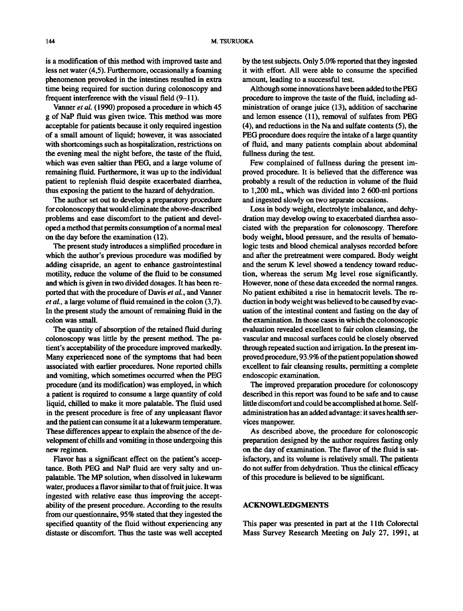is a modification of this method with improved taste and less net water (4,5). Furthermore, occasionally a foaming phenomenon provoked in the intestines resulted in extra time being required for suction during colonoscopy and frequent interference with the visual field (9-11).

Vanner et al. (1990) proposed a procedure in which 45 g of NaP fluid was given twice. This method was more acceptable for patients because it only required ingestion of a small amount of liquid; however, it was associated with shortcomings such as hospitalization, restrictions on the evening meal the night before, the taste of the fluid, which was even saltier than PEG, and a large volume of remaining fluid. Furthermore, it was up to the individual patient to replenish fluid despite exacerbated diarrhea, thus exposing the patient to the hazard of dehydration.

The author set out to develop a preparatory procedure for colonoscopy that would eliminate the above-described problems and ease discomfort to the patient and developed a method that permits consumption of a normal meal on the day before the examination (12).

The present study introduces a simplified procedure in which the author's previous procedure was modified by adding cisapride, an agent to enhance gastrointestinal motility, reduce the volume of the fluid to be consumed and which is given in two divided dosages. It has been reported that with the procedure of Davis et al., and Vanner et al., a large volume of fluid remained in the colon (3,7). In the present study the amount of remaining fluid in the colon was small.

The quantity of absorption of the retained fluid during colonoscopy was little by the present method. The patient's acceptability of the procedure improved markedly. Many experienced none of the symptoms that had been associated with earlier procedures. None reported chills and vomiting, which sometimes occurred when the PEG procedure (and its modification) was employed, in which a patient is required to consume a large quantity of cold liquid, chilled to make it more palatable. The fluid used in the present procedure is free of any unpleasant flavor and the patient can consume it at a lukewarm temperature. These differences appear to explain the absence of the development of chills and vomiting in those undergoing this new regimen.

Flavor has a significant effect on the patient's acceptance. Both PEG and NaP fluid are very salty and unpalatable. The MP solution, when dissolved in lukewarm water, produces a flavor similar to that of fruit juice. It was ingested with relative ease thus improving the acceptability of the present procedure. According to the results from our questionnaire, 95% stated that they ingested the specified quantity of the fluid without experiencing any distaste or discomfort. Thus the taste was well accepted by the test subjects. Only 5.0% reported that they ingested it with effort. All were able to consume the specified amount, leading to a successful test.

Although some innovations have been added to the PEG procedure to improve the taste of the fluid, including administration of orange juice (13), addition of saccharine and lemon essence (11), removal of sulfates from PEG (4), and reductions in the Na and sulfate contents (5), the PEG procedure does require the intake of a large quantity of fluid, and many patients complain about abdominal fullness during the test.

Few complained of fullness during the present improved procedure. It is believed that the difference was probably a result of the reduction in volume of the fluid to 1,200 mL, which was divided into 2 600-ml portions and ingested slowly on two separate occasions.

Loss in body weight, electrolyte imbalance, and dehydration may develop owing to exacerbated diarrhea associated with the preparation for colonoscopy. Therefore body weight, blood pressure, and the results of hematologic tests and blood chemical analyses recorded before and after the pretreatment were compared. Body weight and the serum K level showed <sup>a</sup> tendency toward reduction, whereas the serum Mg level rose significantly. However, none of these data exceeded the normal ranges. No patient exhibited a rise in hematocrit levels. The reduction in body weight was believed to be caused by evacuation of the intestinal content and fasting on the day of the examination. In those cases in which the colonoscopic evaluation revealed excellent to fair colon cleansing, the vascular and mucosal surfaces could be closely observed through repeated suction and irrigation. In the present improved procedure, 93.9% of the patient population showed excellent to fair cleansing results, permitting a complete endoscopic examination.

The improved preparation procedure for colonoscopy described in this report was found to be safe and to cause little discomfort and could be accomplished at home. Selfadministration has an added advantage: it saves health services manpower.

As described above, the procedure for colonoscopic preparation designed by the author requires fasting only on the day of examination. The flavor of the fluid is satisfactory, and its volume is relatively small. The patients do not suffer from dehydration. Thus the clinical efficacy of this procedure is believed to be significant.

## ACKNOWLEDGMENTS

This paper was presented in part at the 11th Colorectal Mass Survey Research Meeting on July 27, 1991, at